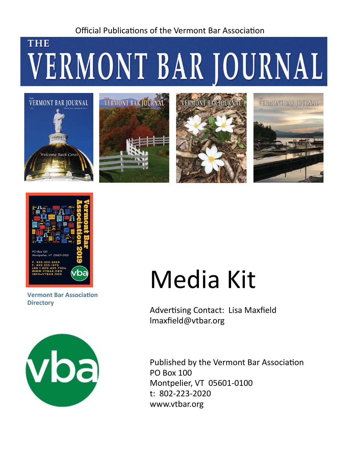#### Official Publications of the Vermont Bar Association

## **THE** VERMONT BAR JOURNAL











**Vermont Bar Association Directory**



# Media Kit

Advertising Contact: Lisa Maxfield lmaxfield@vtbar.org

Published by the Vermont Bar Association PO Box 100 Montpelier, VT 05601-0100 t: 802-223-2020 www.vtbar.org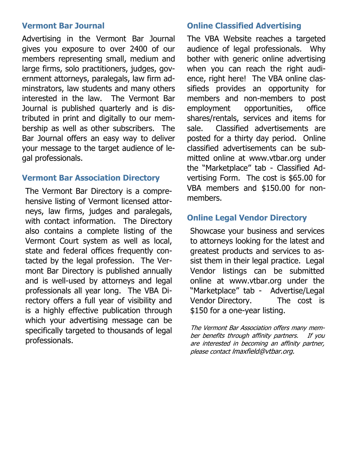#### **Vermont Bar Journal**

Advertising in the Vermont Bar Journal gives you exposure to over 2400 of our members representing small, medium and large firms, solo practitioners, judges, government attorneys, paralegals, law firm adminstrators, law students and many others interested in the law. The Vermont Bar Journal is published quarterly and is distributed in print and digitally to our membership as well as other subscribers. The Bar Journal offers an easy way to deliver your message to the target audience of legal professionals.

#### **Vermont Bar Association Directory**

The Vermont Bar Directory is a comprehensive listing of Vermont licensed attorneys, law firms, judges and paralegals, with contact information. The Directory also contains a complete listing of the Vermont Court system as well as local, state and federal offices frequently contacted by the legal profession. The Vermont Bar Directory is published annually and is well-used by attorneys and legal professionals all year long. The VBA Directory offers a full year of visibility and is a highly effective publication through which your advertising message can be specifically targeted to thousands of legal professionals.

#### **Online Classified Advertising**

The VBA Website reaches a targeted audience of legal professionals. Why bother with generic online advertising when you can reach the right audience, right here! The VBA online classifieds provides an opportunity for members and non-members to post employment opportunities, office shares/rentals, services and items for sale. Classified advertisements are posted for a thirty day period. Online classified advertisements can be submitted online at www.vtbar.org under the "Marketplace" tab - Classified Advertising Form. The cost is \$65.00 for VBA members and \$150.00 for nonmembers.

#### **Online Legal Vendor Directory**

Showcase your business and services to attorneys looking for the latest and greatest products and services to assist them in their legal practice. Legal Vendor listings can be submitted online at www.vtbar.org under the "Marketplace" tab - Advertise/Legal Vendor Directory. The cost is \$150 for a one-year listing.

The Vermont Bar Association offers many member benefits through affinity partners. If you are interested in becoming an affinity partner, please contact lmaxfield@vtbar.org.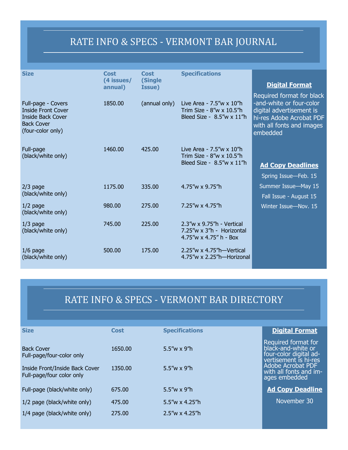## RATE INFO & SPECS - VERMONT BAR JOURNAL

| <b>Size</b>                                                                                                    | <b>Cost</b><br>(4 issues/<br>annual) | <b>Cost</b><br>(Single<br>Issue) | <b>Specifications</b>                                                                               | <b>Digital Format</b>                                                                                                                                  |
|----------------------------------------------------------------------------------------------------------------|--------------------------------------|----------------------------------|-----------------------------------------------------------------------------------------------------|--------------------------------------------------------------------------------------------------------------------------------------------------------|
| Full-page - Covers<br><b>Inside Front Cover</b><br>Inside Back Cover<br><b>Back Cover</b><br>(four-color only) | 1850.00                              | (annual only)                    | Live Area - $7.5''w \times 10''h$<br>Trim Size - $8''w \times 10.5''h$<br>Bleed Size - 8.5"w x 11"h | Required format for black<br>-and-white or four-color<br>digital advertisement is<br>hi-res Adobe Acrobat PDF<br>with all fonts and images<br>embedded |
| Full-page<br>(black/white only)                                                                                | 1460.00                              | 425.00                           | Live Area - $7.5''w \times 10''h$<br>Trim Size - 8"w x 10.5"h<br>Bleed Size - $8.5''w \times 11''h$ | <b>Ad Copy Deadlines</b><br>Spring Issue-Feb. 15                                                                                                       |
| $2/3$ page<br>(black/white only)                                                                               | 1175.00                              | 335.00                           | 4.75"w x 9.75"h                                                                                     | Summer Issue-May 15<br>Fall Issue - August 15                                                                                                          |
| $1/2$ page<br>(black/white only)                                                                               | 980.00                               | 275,00                           | 7.25"w x 4.75"h                                                                                     | Winter Issue-Nov. 15                                                                                                                                   |
| $1/3$ page<br>(black/white only)                                                                               | 745.00                               | 225,00                           | 2.3"w x 9.75"h - Vertical<br>7.25"w x 3"h - Horizontal<br>$4.75''$ w x $4.75''$ h - Box             |                                                                                                                                                        |
| $1/6$ page<br>(black/white only)                                                                               | 500.00                               | 175.00                           | $2.25''$ w x 4.75"h—Vertical<br>4.75"w x 2.25"h-Horizonal                                           |                                                                                                                                                        |

### RATE INFO & SPECS - VERMONT BAR DIRECTORY

| <b>Specifications</b>   | <b>Digital Format</b>                                                                        |  |
|-------------------------|----------------------------------------------------------------------------------------------|--|
| 5.5"w x 9"h             | Required format for<br>black-and-white or<br>four-color digital ad-<br>vertisement is hi-res |  |
| 5.5"w $\times$ 9"h      | Adobe Acrobat PDF<br>with all fonts and im-<br>ages embedded                                 |  |
| $5.5''w \times 9''h$    | <b>Ad Copy Deadline</b>                                                                      |  |
| $5.5''w \times 4.25''h$ | November 30                                                                                  |  |
| $2.5''w \times 4.25''h$ |                                                                                              |  |
|                         |                                                                                              |  |